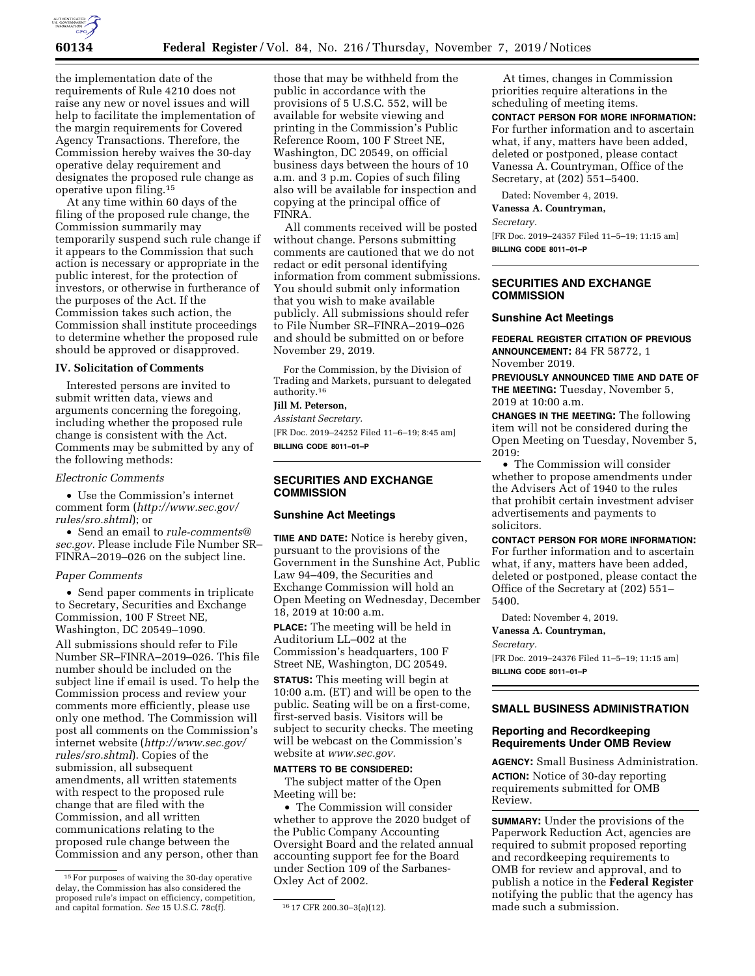

the implementation date of the requirements of Rule 4210 does not raise any new or novel issues and will help to facilitate the implementation of the margin requirements for Covered Agency Transactions. Therefore, the Commission hereby waives the 30-day operative delay requirement and designates the proposed rule change as operative upon filing.15

At any time within 60 days of the filing of the proposed rule change, the Commission summarily may temporarily suspend such rule change if it appears to the Commission that such action is necessary or appropriate in the public interest, for the protection of investors, or otherwise in furtherance of the purposes of the Act. If the Commission takes such action, the Commission shall institute proceedings to determine whether the proposed rule should be approved or disapproved.

#### **IV. Solicitation of Comments**

Interested persons are invited to submit written data, views and arguments concerning the foregoing, including whether the proposed rule change is consistent with the Act. Comments may be submitted by any of the following methods:

#### *Electronic Comments*

• Use the Commission's internet comment form (*[http://www.sec.gov/](http://www.sec.gov/rules/sro.shtml)  [rules/sro.shtml](http://www.sec.gov/rules/sro.shtml)*); or

• Send an email to *[rule-comments@](mailto:rule-comments@sec.gov) [sec.gov.](mailto:rule-comments@sec.gov)* Please include File Number SR– FINRA–2019–026 on the subject line.

#### *Paper Comments*

• Send paper comments in triplicate to Secretary, Securities and Exchange Commission, 100 F Street NE, Washington, DC 20549–1090.

All submissions should refer to File Number SR–FINRA–2019–026. This file number should be included on the subject line if email is used. To help the Commission process and review your comments more efficiently, please use only one method. The Commission will post all comments on the Commission's internet website (*[http://www.sec.gov/](http://www.sec.gov/rules/sro.shtml)  [rules/sro.shtml](http://www.sec.gov/rules/sro.shtml)*). Copies of the submission, all subsequent amendments, all written statements with respect to the proposed rule change that are filed with the Commission, and all written communications relating to the proposed rule change between the Commission and any person, other than

those that may be withheld from the public in accordance with the provisions of 5 U.S.C. 552, will be available for website viewing and printing in the Commission's Public Reference Room, 100 F Street NE, Washington, DC 20549, on official business days between the hours of 10 a.m. and 3 p.m. Copies of such filing also will be available for inspection and copying at the principal office of FINRA.

All comments received will be posted without change. Persons submitting comments are cautioned that we do not redact or edit personal identifying information from comment submissions. You should submit only information that you wish to make available publicly. All submissions should refer to File Number SR–FINRA–2019–026 and should be submitted on or before November 29, 2019.

For the Commission, by the Division of Trading and Markets, pursuant to delegated authority.16

# **Jill M. Peterson,**

*Assistant Secretary.*  [FR Doc. 2019–24252 Filed 11–6–19; 8:45 am] **BILLING CODE 8011–01–P** 

**SECURITIES AND EXCHANGE COMMISSION** 

## **Sunshine Act Meetings**

**TIME AND DATE:** Notice is hereby given, pursuant to the provisions of the Government in the Sunshine Act, Public Law 94–409, the Securities and Exchange Commission will hold an Open Meeting on Wednesday, December 18, 2019 at 10:00 a.m.

**PLACE:** The meeting will be held in Auditorium LL–002 at the Commission's headquarters, 100 F Street NE, Washington, DC 20549.

**STATUS:** This meeting will begin at 10:00 a.m. (ET) and will be open to the public. Seating will be on a first-come, first-served basis. Visitors will be subject to security checks. The meeting will be webcast on the Commission's website at *[www.sec.gov.](http://www.sec.gov)* 

#### **MATTERS TO BE CONSIDERED:**

The subject matter of the Open Meeting will be:

• The Commission will consider whether to approve the 2020 budget of the Public Company Accounting Oversight Board and the related annual accounting support fee for the Board under Section 109 of the Sarbanes-Oxley Act of 2002.

At times, changes in Commission priorities require alterations in the scheduling of meeting items.

**CONTACT PERSON FOR MORE INFORMATION:**  For further information and to ascertain what, if any, matters have been added, deleted or postponed, please contact Vanessa A. Countryman, Office of the Secretary, at (202) 551–5400.

Dated: November 4, 2019.

**Vanessa A. Countryman,** 

*Secretary.* 

[FR Doc. 2019–24357 Filed 11–5–19; 11:15 am] **BILLING CODE 8011–01–P** 

#### **SECURITIES AND EXCHANGE COMMISSION**

#### **Sunshine Act Meetings**

**FEDERAL REGISTER CITATION OF PREVIOUS ANNOUNCEMENT:** 84 FR 58772, 1 November 2019.

**PREVIOUSLY ANNOUNCED TIME AND DATE OF THE MEETING:** Tuesday, November 5, 2019 at 10:00 a.m.

**CHANGES IN THE MEETING:** The following item will not be considered during the Open Meeting on Tuesday, November 5, 2019:

• The Commission will consider whether to propose amendments under the Advisers Act of 1940 to the rules that prohibit certain investment adviser advertisements and payments to solicitors.

**CONTACT PERSON FOR MORE INFORMATION:**  For further information and to ascertain what, if any, matters have been added, deleted or postponed, please contact the Office of the Secretary at (202) 551– 5400.

Dated: November 4, 2019.

**Vanessa A. Countryman,** 

*Secretary.* 

[FR Doc. 2019–24376 Filed 11–5–19; 11:15 am] **BILLING CODE 8011–01–P** 

#### **SMALL BUSINESS ADMINISTRATION**

### **Reporting and Recordkeeping Requirements Under OMB Review**

**AGENCY:** Small Business Administration. **ACTION:** Notice of 30-day reporting requirements submitted for OMB Review.

**SUMMARY:** Under the provisions of the Paperwork Reduction Act, agencies are required to submit proposed reporting and recordkeeping requirements to OMB for review and approval, and to publish a notice in the **Federal Register**  notifying the public that the agency has made such a submission.

<sup>15</sup>For purposes of waiving the 30-day operative delay, the Commission has also considered the proposed rule's impact on efficiency, competition,  $\overline{\hspace{1cm} \hspace{2cm} \hspace{2cm} \hspace{2cm} \hspace{2cm} \hspace{2cm} \hspace{2cm} \hspace{2cm} \hspace{2cm} \hspace{2cm} \hspace{2cm} \hspace{2cm} \hspace{2cm} \hspace{2cm} \hspace{2cm} \hspace{2cm} \hspace{2cm} \hspace{2cm} \hspace{2cm} \hspace{2cm} \hspace{2cm} \hspace{2cm} \hspace{2cm} \hspace{2cm$